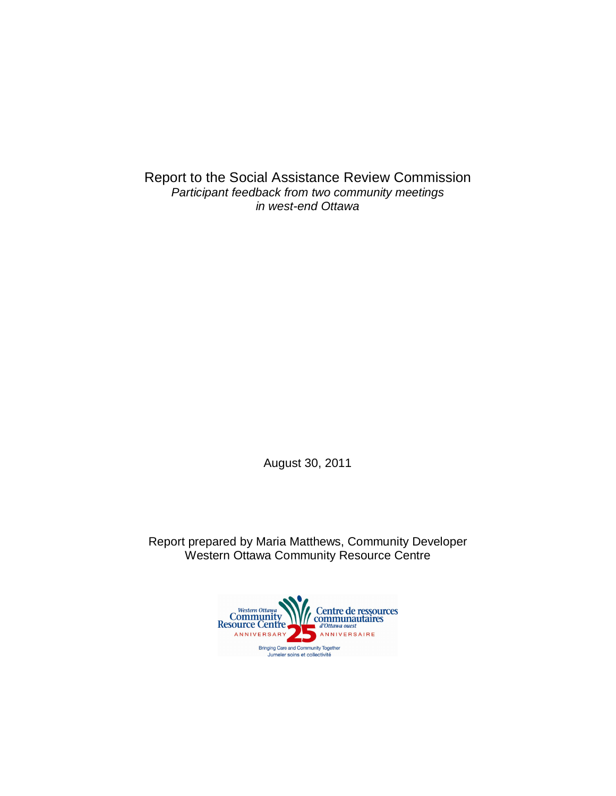Report to the Social Assistance Review Commission *Participant feedback from two community meetings in west-end Ottawa*

August 30, 2011

Report prepared by Maria Matthews, Community Developer Western Ottawa Community Resource Centre

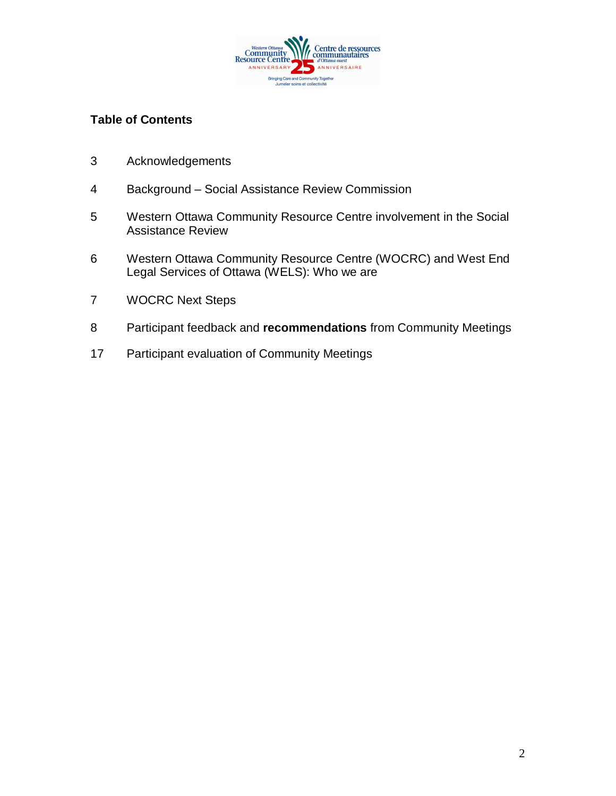

## **Table of Contents**

- Acknowledgements
- Background Social Assistance Review Commission
- Western Ottawa Community Resource Centre involvement in the Social Assistance Review
- Western Ottawa Community Resource Centre (WOCRC) and West End Legal Services of Ottawa (WELS): Who we are
- WOCRC Next Steps
- Participant feedback and **recommendations** from Community Meetings
- Participant evaluation of Community Meetings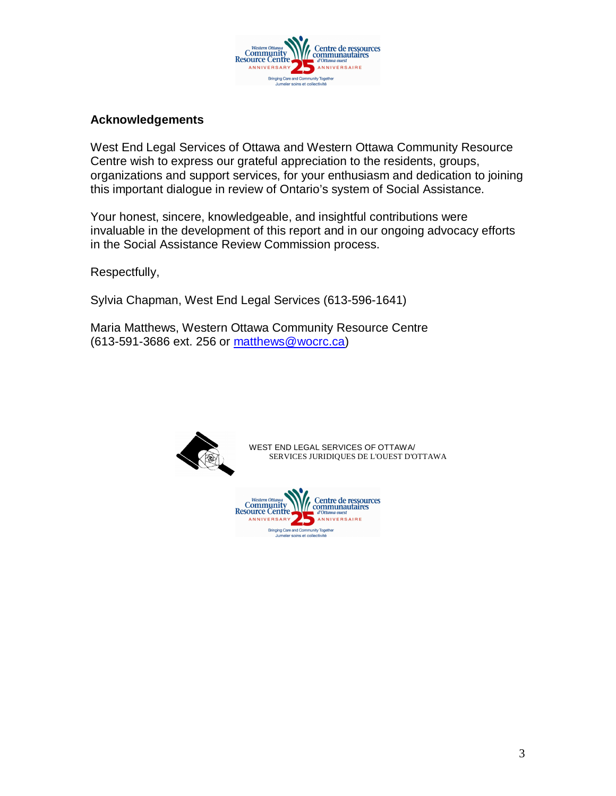

#### **Acknowledgements**

West End Legal Services of Ottawa and Western Ottawa Community Resource Centre wish to express our grateful appreciation to the residents, groups, organizations and support services, for your enthusiasm and dedication to joining this important dialogue in review of Ontario's system of Social Assistance.

Your honest, sincere, knowledgeable, and insightful contributions were invaluable in the development of this report and in our ongoing advocacy efforts in the Social Assistance Review Commission process.

Respectfully,

Sylvia Chapman, West End Legal Services (613-596-1641)

Maria Matthews, Western Ottawa Community Resource Centre (613-591-3686 ext. 256 or matthews@wocrc.ca)



WEST END LEGAL SERVICES OF OTTAWA/ SERVICES JURIDIQUES DE L'OUEST D'OTTAWA

Centre de ressources **Community**<br>
Resource Centre, ANNIVERSAIRE ANNIVERSARY Bringing Care and Community Tog<br>Jumeler soins et collectivité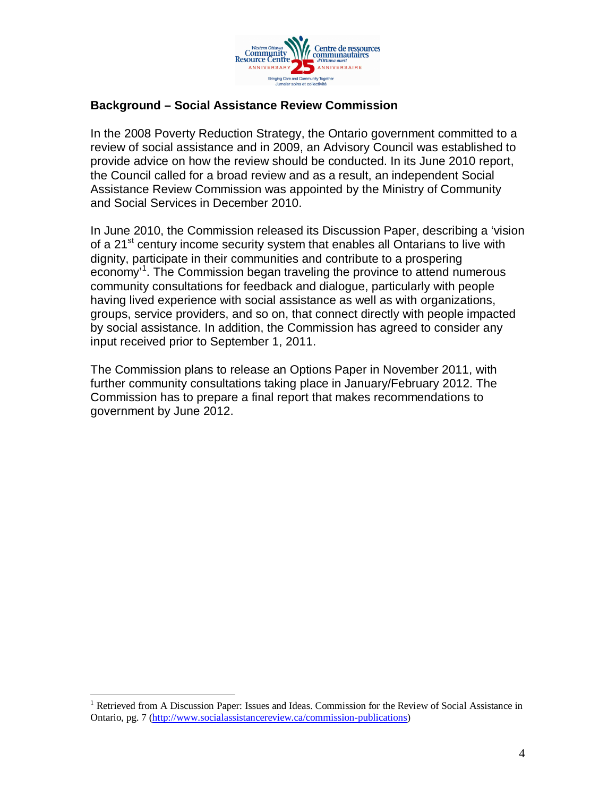

## **Background – Social Assistance Review Commission**

In the 2008 Poverty Reduction Strategy, the Ontario government committed to a review of social assistance and in 2009, an Advisory Council was established to provide advice on how the review should be conducted. In its June 2010 report, the Council called for a broad review and as a result, an independent Social Assistance Review Commission was appointed by the Ministry of Community and Social Services in December 2010.

In June 2010, the Commission released its Discussion Paper, describing a 'vision of a 21<sup>st</sup> century income security system that enables all Ontarians to live with dignity, participate in their communities and contribute to a prospering economy<sup>1</sup>. The Commission began traveling the province to attend numerous community consultations for feedback and dialogue, particularly with people having lived experience with social assistance as well as with organizations, groups, service providers, and so on, that connect directly with people impacted by social assistance. In addition, the Commission has agreed to consider any input received prior to September 1, 2011.

The Commission plans to release an Options Paper in November 2011, with further community consultations taking place in January/February 2012. The Commission has to prepare a final report that makes recommendations to government by June 2012.

 $\overline{a}$ 

<sup>&</sup>lt;sup>1</sup> Retrieved from A Discussion Paper: Issues and Ideas. Commission for the Review of Social Assistance in Ontario, pg. 7 (http://www.socialassistancereview.ca/commission-publications)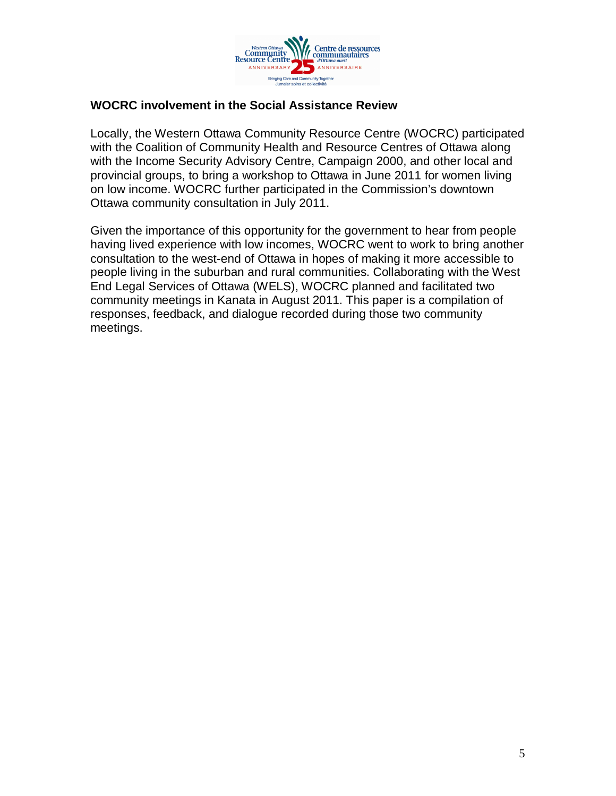

## **WOCRC involvement in the Social Assistance Review**

Locally, the Western Ottawa Community Resource Centre (WOCRC) participated with the Coalition of Community Health and Resource Centres of Ottawa along with the Income Security Advisory Centre, Campaign 2000, and other local and provincial groups, to bring a workshop to Ottawa in June 2011 for women living on low income. WOCRC further participated in the Commission's downtown Ottawa community consultation in July 2011.

Given the importance of this opportunity for the government to hear from people having lived experience with low incomes, WOCRC went to work to bring another consultation to the west-end of Ottawa in hopes of making it more accessible to people living in the suburban and rural communities. Collaborating with the West End Legal Services of Ottawa (WELS), WOCRC planned and facilitated two community meetings in Kanata in August 2011. This paper is a compilation of responses, feedback, and dialogue recorded during those two community meetings.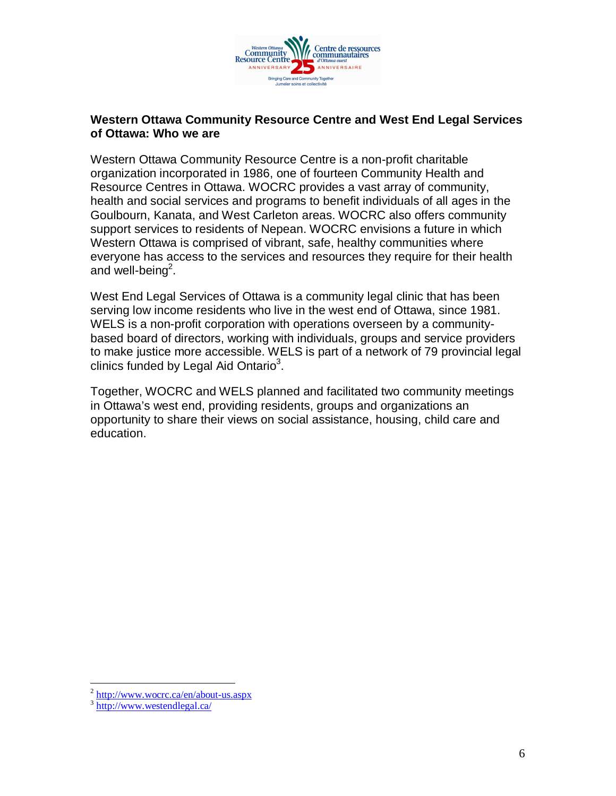

#### **Western Ottawa Community Resource Centre and West End Legal Services of Ottawa: Who we are**

Western Ottawa Community Resource Centre is a non-profit charitable organization incorporated in 1986, one of fourteen Community Health and Resource Centres in Ottawa. WOCRC provides a vast array of community, health and social services and programs to benefit individuals of all ages in the Goulbourn, Kanata, and West Carleton areas. WOCRC also offers community support services to residents of Nepean. WOCRC envisions a future in which Western Ottawa is comprised of vibrant, safe, healthy communities where everyone has access to the services and resources they require for their health and well-being<sup>2</sup>.

West End Legal Services of Ottawa is a community legal clinic that has been serving low income residents who live in the west end of Ottawa, since 1981. WELS is a non-profit corporation with operations overseen by a communitybased board of directors, working with individuals, groups and service providers to make justice more accessible. WELS is part of a network of 79 provincial legal clinics funded by Legal Aid Ontario $3$ .

Together, WOCRC and WELS planned and facilitated two community meetings in Ottawa's west end, providing residents, groups and organizations an opportunity to share their views on social assistance, housing, child care and education.

 $\overline{a}$ 

<sup>&</sup>lt;sup>2</sup> http://www.wocrc.ca/en/about-us.aspx

<sup>&</sup>lt;sup>3</sup> http://www.westendlegal.ca/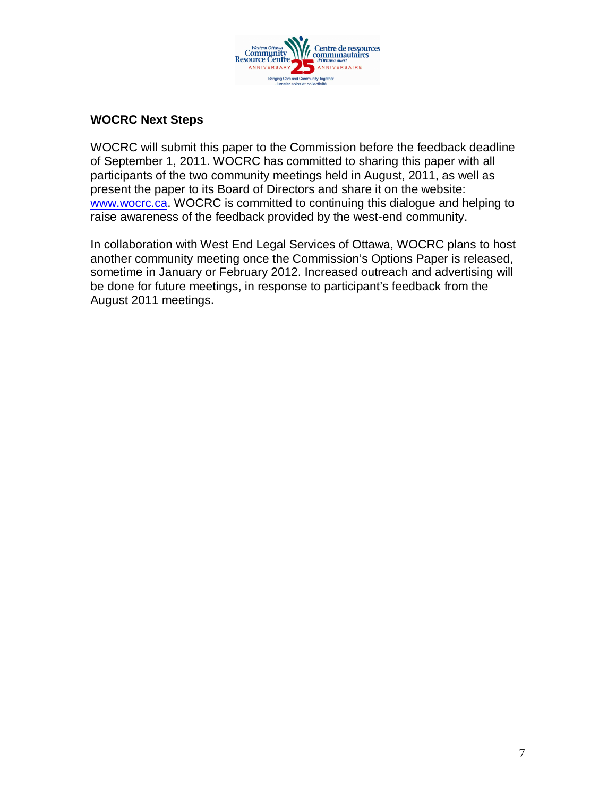

## **WOCRC Next Steps**

WOCRC will submit this paper to the Commission before the feedback deadline of September 1, 2011. WOCRC has committed to sharing this paper with all participants of the two community meetings held in August, 2011, as well as present the paper to its Board of Directors and share it on the website: www.wocrc.ca. WOCRC is committed to continuing this dialogue and helping to raise awareness of the feedback provided by the west-end community.

In collaboration with West End Legal Services of Ottawa, WOCRC plans to host another community meeting once the Commission's Options Paper is released, sometime in January or February 2012. Increased outreach and advertising will be done for future meetings, in response to participant's feedback from the August 2011 meetings.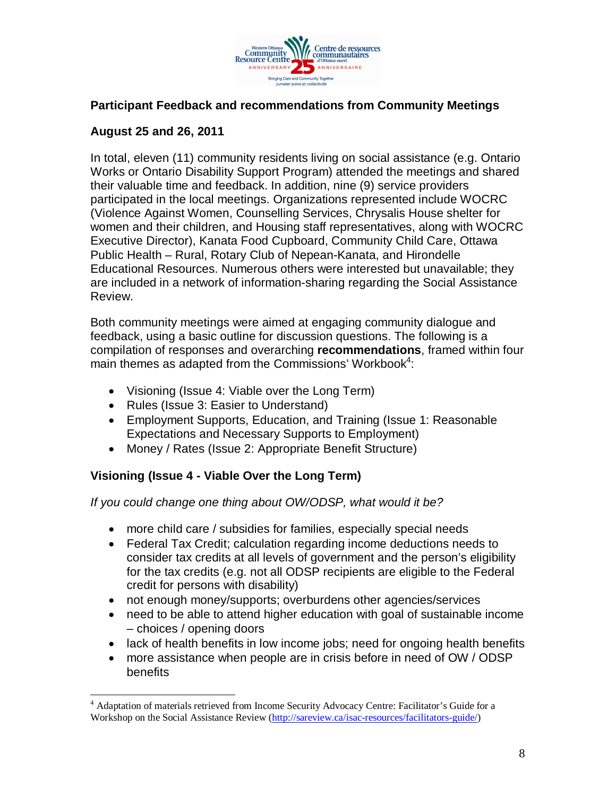

## **Participant Feedback and recommendations from Community Meetings**

## **August 25 and 26, 2011**

In total, eleven (11) community residents living on social assistance (e.g. Ontario Works or Ontario Disability Support Program) attended the meetings and shared their valuable time and feedback. In addition, nine (9) service providers participated in the local meetings. Organizations represented include WOCRC (Violence Against Women, Counselling Services, Chrysalis House shelter for women and their children, and Housing staff representatives, along with WOCRC Executive Director), Kanata Food Cupboard, Community Child Care, Ottawa Public Health – Rural, Rotary Club of Nepean-Kanata, and Hirondelle Educational Resources. Numerous others were interested but unavailable; they are included in a network of information-sharing regarding the Social Assistance Review.

Both community meetings were aimed at engaging community dialogue and feedback, using a basic outline for discussion questions. The following is a compilation of responses and overarching **recommendations**, framed within four main themes as adapted from the Commissions' Workbook<sup>4</sup>:

- Visioning (Issue 4: Viable over the Long Term)
- Rules (Issue 3: Easier to Understand)
- Employment Supports, Education, and Training (Issue 1: Reasonable Expectations and Necessary Supports to Employment)
- Money / Rates (Issue 2: Appropriate Benefit Structure)

# **Visioning (Issue 4 - Viable Over the Long Term)**

*If you could change one thing about OW/ODSP, what would it be?* 

- more child care / subsidies for families, especially special needs
- Federal Tax Credit; calculation regarding income deductions needs to consider tax credits at all levels of government and the person's eligibility for the tax credits (e.g. not all ODSP recipients are eligible to the Federal credit for persons with disability)
- not enough money/supports; overburdens other agencies/services
- need to be able to attend higher education with goal of sustainable income – choices / opening doors
- lack of health benefits in low income jobs; need for ongoing health benefits
- more assistance when people are in crisis before in need of OW / ODSP benefits

 4 Adaptation of materials retrieved from Income Security Advocacy Centre: Facilitator's Guide for a Workshop on the Social Assistance Review (http://sareview.ca/isac-resources/facilitators-guide/)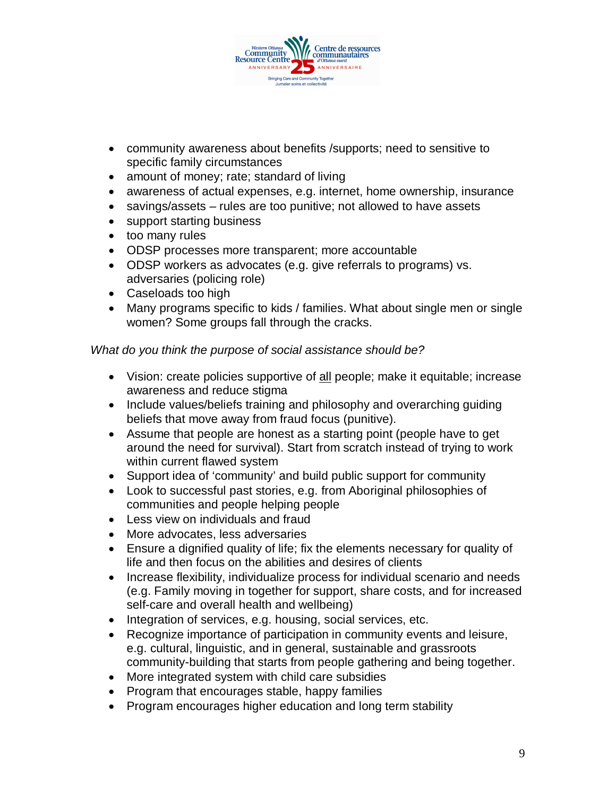

- community awareness about benefits /supports; need to sensitive to specific family circumstances
- amount of money; rate; standard of living
- awareness of actual expenses, e.g. internet, home ownership, insurance
- savings/assets rules are too punitive; not allowed to have assets
- support starting business
- too many rules
- ODSP processes more transparent; more accountable
- ODSP workers as advocates (e.g. give referrals to programs) vs. adversaries (policing role)
- Caseloads too high
- Many programs specific to kids / families. What about single men or single women? Some groups fall through the cracks.

## *What do you think the purpose of social assistance should be?*

- Vision: create policies supportive of all people; make it equitable; increase awareness and reduce stigma
- Include values/beliefs training and philosophy and overarching quiding beliefs that move away from fraud focus (punitive).
- Assume that people are honest as a starting point (people have to get around the need for survival). Start from scratch instead of trying to work within current flawed system
- Support idea of 'community' and build public support for community
- Look to successful past stories, e.g. from Aboriginal philosophies of communities and people helping people
- Less view on individuals and fraud
- More advocates, less adversaries
- Ensure a dignified quality of life; fix the elements necessary for quality of life and then focus on the abilities and desires of clients
- Increase flexibility, individualize process for individual scenario and needs (e.g. Family moving in together for support, share costs, and for increased self-care and overall health and wellbeing)
- Integration of services, e.g. housing, social services, etc.
- Recognize importance of participation in community events and leisure, e.g. cultural, linguistic, and in general, sustainable and grassroots community-building that starts from people gathering and being together.
- More integrated system with child care subsidies
- Program that encourages stable, happy families
- Program encourages higher education and long term stability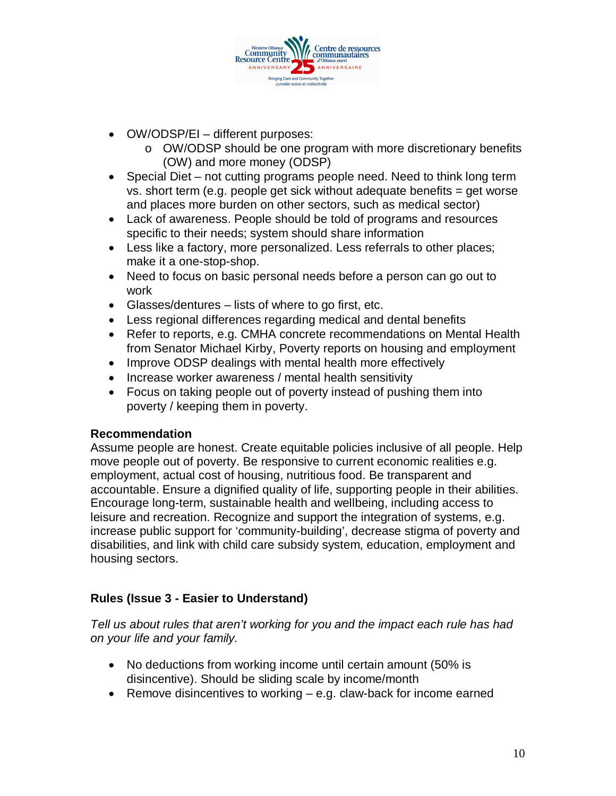

- OW/ODSP/EI different purposes:
	- o OW/ODSP should be one program with more discretionary benefits (OW) and more money (ODSP)
- Special Diet not cutting programs people need. Need to think long term vs. short term (e.g. people get sick without adequate benefits  $=$  get worse and places more burden on other sectors, such as medical sector)
- Lack of awareness. People should be told of programs and resources specific to their needs; system should share information
- Less like a factory, more personalized. Less referrals to other places; make it a one-stop-shop.
- Need to focus on basic personal needs before a person can go out to work
- Glasses/dentures lists of where to go first, etc.
- Less regional differences regarding medical and dental benefits
- Refer to reports, e.g. CMHA concrete recommendations on Mental Health from Senator Michael Kirby, Poverty reports on housing and employment
- Improve ODSP dealings with mental health more effectively
- Increase worker awareness / mental health sensitivity
- Focus on taking people out of poverty instead of pushing them into poverty / keeping them in poverty.

#### **Recommendation**

Assume people are honest. Create equitable policies inclusive of all people. Help move people out of poverty. Be responsive to current economic realities e.g. employment, actual cost of housing, nutritious food. Be transparent and accountable. Ensure a dignified quality of life, supporting people in their abilities. Encourage long-term, sustainable health and wellbeing, including access to leisure and recreation. Recognize and support the integration of systems, e.g. increase public support for 'community-building', decrease stigma of poverty and disabilities, and link with child care subsidy system, education, employment and housing sectors.

#### **Rules (Issue 3 - Easier to Understand)**

*Tell us about rules that aren't working for you and the impact each rule has had on your life and your family.*

- No deductions from working income until certain amount (50% is disincentive). Should be sliding scale by income/month
- **•** Remove disincentives to working  $-$  e.g. claw-back for income earned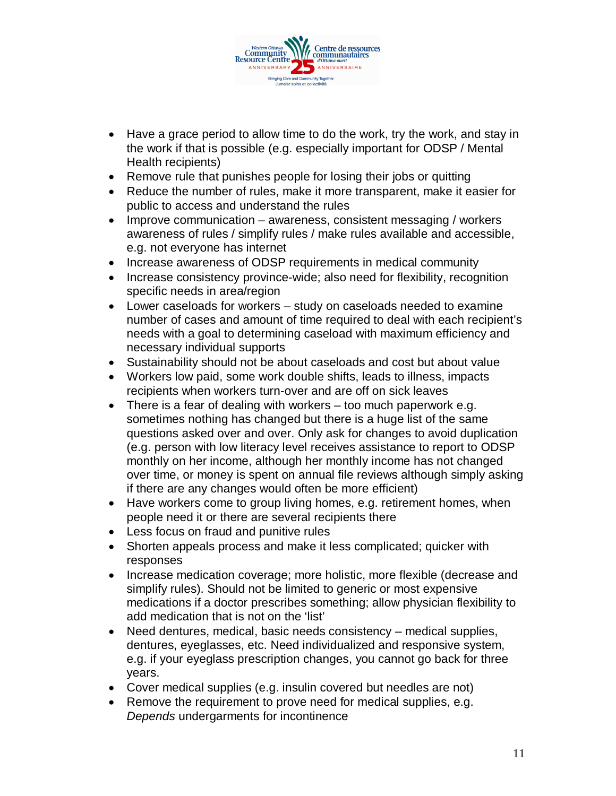

- Have a grace period to allow time to do the work, try the work, and stay in the work if that is possible (e.g. especially important for ODSP / Mental Health recipients)
- Remove rule that punishes people for losing their jobs or quitting
- Reduce the number of rules, make it more transparent, make it easier for public to access and understand the rules
- Improve communication awareness, consistent messaging / workers awareness of rules / simplify rules / make rules available and accessible, e.g. not everyone has internet
- Increase awareness of ODSP requirements in medical community
- Increase consistency province-wide; also need for flexibility, recognition specific needs in area/region
- Lower caseloads for workers study on caseloads needed to examine number of cases and amount of time required to deal with each recipient's needs with a goal to determining caseload with maximum efficiency and necessary individual supports
- Sustainability should not be about caseloads and cost but about value
- Workers low paid, some work double shifts, leads to illness, impacts recipients when workers turn-over and are off on sick leaves
- There is a fear of dealing with workers too much paperwork e.g. sometimes nothing has changed but there is a huge list of the same questions asked over and over. Only ask for changes to avoid duplication (e.g. person with low literacy level receives assistance to report to ODSP monthly on her income, although her monthly income has not changed over time, or money is spent on annual file reviews although simply asking if there are any changes would often be more efficient)
- Have workers come to group living homes, e.g. retirement homes, when people need it or there are several recipients there
- Less focus on fraud and punitive rules
- Shorten appeals process and make it less complicated; quicker with responses
- Increase medication coverage; more holistic, more flexible (decrease and simplify rules). Should not be limited to generic or most expensive medications if a doctor prescribes something; allow physician flexibility to add medication that is not on the 'list'
- Need dentures, medical, basic needs consistency medical supplies, dentures, eyeglasses, etc. Need individualized and responsive system, e.g. if your eyeglass prescription changes, you cannot go back for three years.
- Cover medical supplies (e.g. insulin covered but needles are not)
- Remove the requirement to prove need for medical supplies, e.g. *Depends* undergarments for incontinence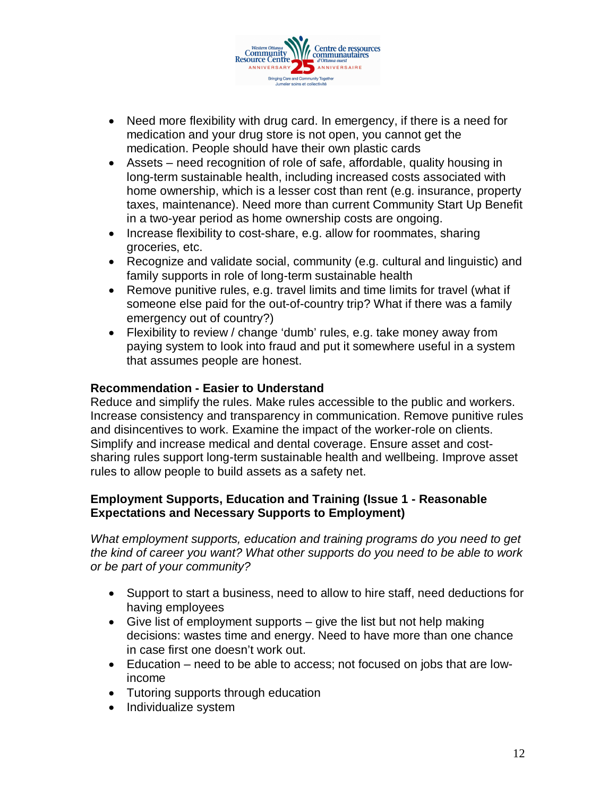

- Need more flexibility with drug card. In emergency, if there is a need for medication and your drug store is not open, you cannot get the medication. People should have their own plastic cards
- Assets need recognition of role of safe, affordable, quality housing in long-term sustainable health, including increased costs associated with home ownership, which is a lesser cost than rent (e.g. insurance, property taxes, maintenance). Need more than current Community Start Up Benefit in a two-year period as home ownership costs are ongoing.
- Increase flexibility to cost-share, e.g. allow for roommates, sharing groceries, etc.
- Recognize and validate social, community (e.g. cultural and linguistic) and family supports in role of long-term sustainable health
- Remove punitive rules, e.g. travel limits and time limits for travel (what if someone else paid for the out-of-country trip? What if there was a family emergency out of country?)
- Flexibility to review / change 'dumb' rules, e.g. take money away from paying system to look into fraud and put it somewhere useful in a system that assumes people are honest.

## **Recommendation - Easier to Understand**

Reduce and simplify the rules. Make rules accessible to the public and workers. Increase consistency and transparency in communication. Remove punitive rules and disincentives to work. Examine the impact of the worker-role on clients. Simplify and increase medical and dental coverage. Ensure asset and costsharing rules support long-term sustainable health and wellbeing. Improve asset rules to allow people to build assets as a safety net.

## **Employment Supports, Education and Training (Issue 1 - Reasonable Expectations and Necessary Supports to Employment)**

*What employment supports, education and training programs do you need to get the kind of career you want? What other supports do you need to be able to work or be part of your community?*

- Support to start a business, need to allow to hire staff, need deductions for having employees
- Give list of employment supports  $-$  give the list but not help making decisions: wastes time and energy. Need to have more than one chance in case first one doesn't work out.
- Education need to be able to access; not focused on jobs that are lowincome
- Tutoring supports through education
- Individualize system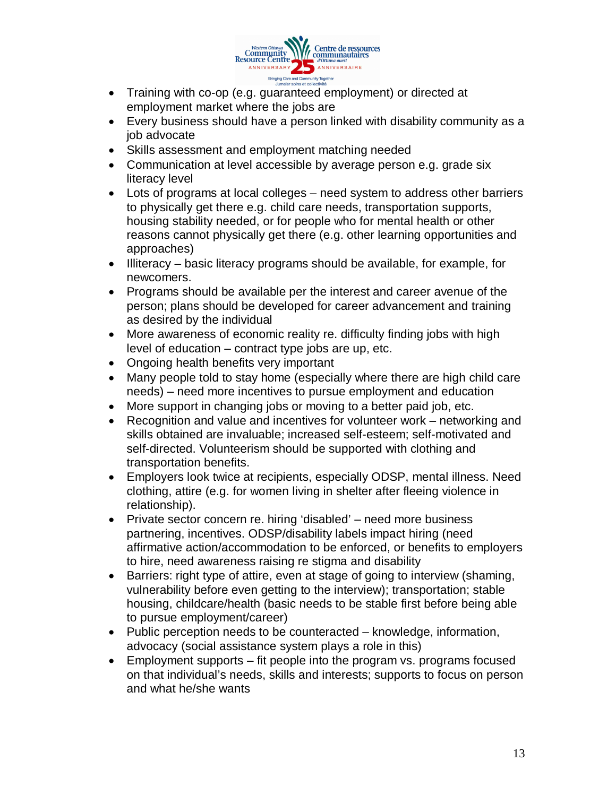

- Training with co-op (e.g. guaranteed employment) or directed at employment market where the jobs are
- Every business should have a person linked with disability community as a job advocate
- Skills assessment and employment matching needed
- Communication at level accessible by average person e.g. grade six literacy level
- Lots of programs at local colleges need system to address other barriers to physically get there e.g. child care needs, transportation supports, housing stability needed, or for people who for mental health or other reasons cannot physically get there (e.g. other learning opportunities and approaches)
- Illiteracy basic literacy programs should be available, for example, for newcomers.
- Programs should be available per the interest and career avenue of the person; plans should be developed for career advancement and training as desired by the individual
- More awareness of economic reality re. difficulty finding jobs with high level of education – contract type jobs are up, etc.
- Ongoing health benefits very important
- Many people told to stay home (especially where there are high child care needs) – need more incentives to pursue employment and education
- More support in changing jobs or moving to a better paid job, etc.
- Recognition and value and incentives for volunteer work networking and skills obtained are invaluable; increased self-esteem; self-motivated and self-directed. Volunteerism should be supported with clothing and transportation benefits.
- Employers look twice at recipients, especially ODSP, mental illness. Need clothing, attire (e.g. for women living in shelter after fleeing violence in relationship).
- Private sector concern re. hiring 'disabled' need more business partnering, incentives. ODSP/disability labels impact hiring (need affirmative action/accommodation to be enforced, or benefits to employers to hire, need awareness raising re stigma and disability
- Barriers: right type of attire, even at stage of going to interview (shaming, vulnerability before even getting to the interview); transportation; stable housing, childcare/health (basic needs to be stable first before being able to pursue employment/career)
- Public perception needs to be counteracted knowledge, information, advocacy (social assistance system plays a role in this)
- $\bullet$  Employment supports fit people into the program vs. programs focused on that individual's needs, skills and interests; supports to focus on person and what he/she wants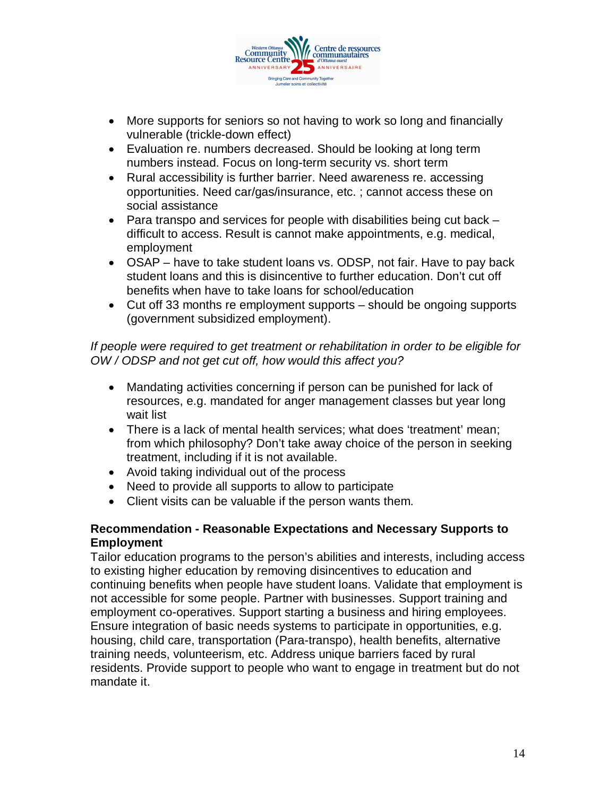

- More supports for seniors so not having to work so long and financially vulnerable (trickle-down effect)
- Evaluation re. numbers decreased. Should be looking at long term numbers instead. Focus on long-term security vs. short term
- Rural accessibility is further barrier. Need awareness re. accessing opportunities. Need car/gas/insurance, etc. ; cannot access these on social assistance
- Para transpo and services for people with disabilities being cut back difficult to access. Result is cannot make appointments, e.g. medical, employment
- OSAP have to take student loans vs. ODSP, not fair. Have to pay back student loans and this is disincentive to further education. Don't cut off benefits when have to take loans for school/education
- Cut off 33 months re employment supports should be ongoing supports (government subsidized employment).

## *If people were required to get treatment or rehabilitation in order to be eligible for OW / ODSP and not get cut off, how would this affect you?*

- Mandating activities concerning if person can be punished for lack of resources, e.g. mandated for anger management classes but year long wait list
- There is a lack of mental health services; what does 'treatment' mean; from which philosophy? Don't take away choice of the person in seeking treatment, including if it is not available.
- Avoid taking individual out of the process
- Need to provide all supports to allow to participate
- Client visits can be valuable if the person wants them.

## **Recommendation - Reasonable Expectations and Necessary Supports to Employment**

Tailor education programs to the person's abilities and interests, including access to existing higher education by removing disincentives to education and continuing benefits when people have student loans. Validate that employment is not accessible for some people. Partner with businesses. Support training and employment co-operatives. Support starting a business and hiring employees. Ensure integration of basic needs systems to participate in opportunities, e.g. housing, child care, transportation (Para-transpo), health benefits, alternative training needs, volunteerism, etc. Address unique barriers faced by rural residents. Provide support to people who want to engage in treatment but do not mandate it.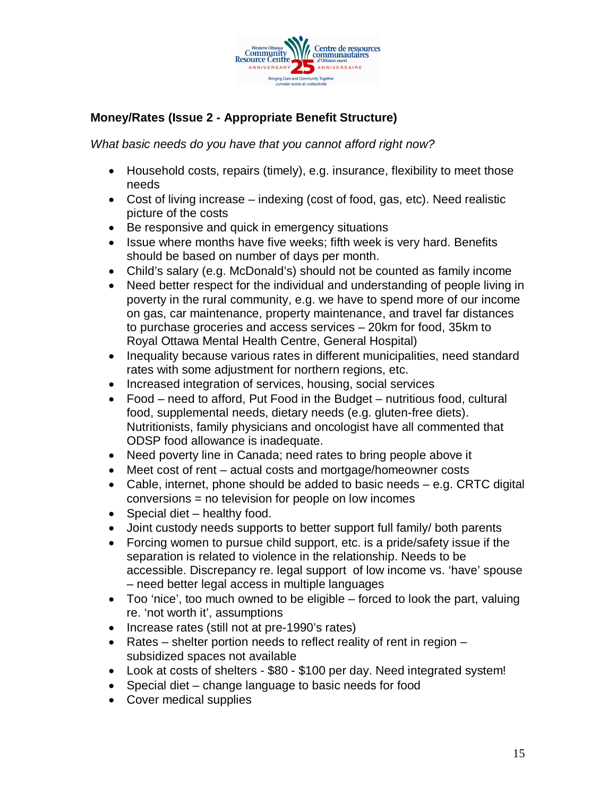

# **Money/Rates (Issue 2 - Appropriate Benefit Structure)**

*What basic needs do you have that you cannot afford right now?*

- Household costs, repairs (timely), e.g. insurance, flexibility to meet those needs
- Cost of living increase indexing (cost of food, gas, etc). Need realistic picture of the costs
- Be responsive and quick in emergency situations
- Issue where months have five weeks; fifth week is very hard. Benefits should be based on number of days per month.
- Child's salary (e.g. McDonald's) should not be counted as family income
- Need better respect for the individual and understanding of people living in poverty in the rural community, e.g. we have to spend more of our income on gas, car maintenance, property maintenance, and travel far distances to purchase groceries and access services – 20km for food, 35km to Royal Ottawa Mental Health Centre, General Hospital)
- Inequality because various rates in different municipalities, need standard rates with some adjustment for northern regions, etc.
- Increased integration of services, housing, social services
- Food need to afford, Put Food in the Budget nutritious food, cultural food, supplemental needs, dietary needs (e.g. gluten-free diets). Nutritionists, family physicians and oncologist have all commented that ODSP food allowance is inadequate.
- Need poverty line in Canada; need rates to bring people above it
- Meet cost of rent actual costs and mortgage/homeowner costs
- Cable, internet, phone should be added to basic needs e.g. CRTC digital conversions = no television for people on low incomes
- Special diet healthy food.
- Joint custody needs supports to better support full family/ both parents
- Forcing women to pursue child support, etc. is a pride/safety issue if the separation is related to violence in the relationship. Needs to be accessible. Discrepancy re. legal support of low income vs. 'have' spouse – need better legal access in multiple languages
- $\bullet$  Too 'nice', too much owned to be eligible forced to look the part, valuing re. 'not worth it', assumptions
- Increase rates (still not at pre-1990's rates)
- $\bullet$  Rates shelter portion needs to reflect reality of rent in region subsidized spaces not available
- Look at costs of shelters \$80 \$100 per day. Need integrated system!
- Special diet change language to basic needs for food
- Cover medical supplies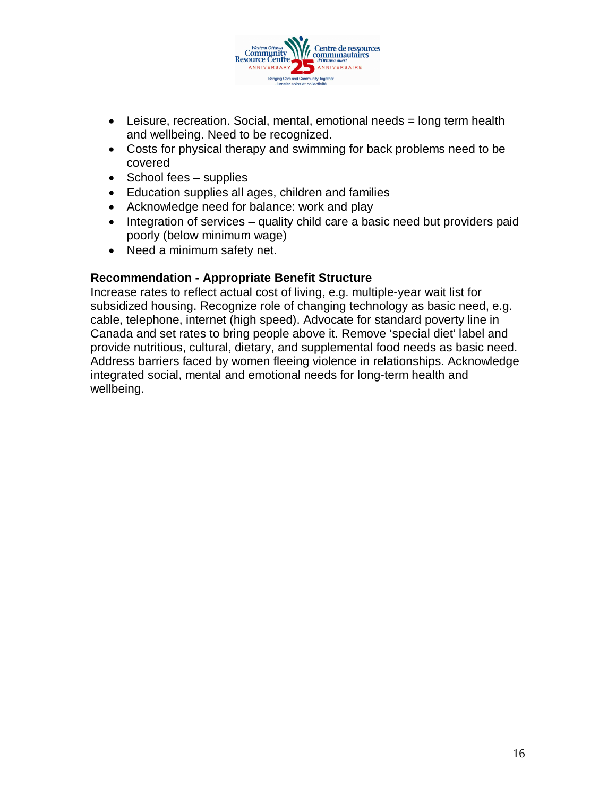

- $\bullet$  Leisure, recreation. Social, mental, emotional needs = long term health and wellbeing. Need to be recognized.
- Costs for physical therapy and swimming for back problems need to be covered
- $\bullet$  School fees supplies
- Education supplies all ages, children and families
- Acknowledge need for balance: work and play
- Integration of services quality child care a basic need but providers paid poorly (below minimum wage)
- Need a minimum safety net.

## **Recommendation - Appropriate Benefit Structure**

Increase rates to reflect actual cost of living, e.g. multiple-year wait list for subsidized housing. Recognize role of changing technology as basic need, e.g. cable, telephone, internet (high speed). Advocate for standard poverty line in Canada and set rates to bring people above it. Remove 'special diet' label and provide nutritious, cultural, dietary, and supplemental food needs as basic need. Address barriers faced by women fleeing violence in relationships. Acknowledge integrated social, mental and emotional needs for long-term health and wellbeing.